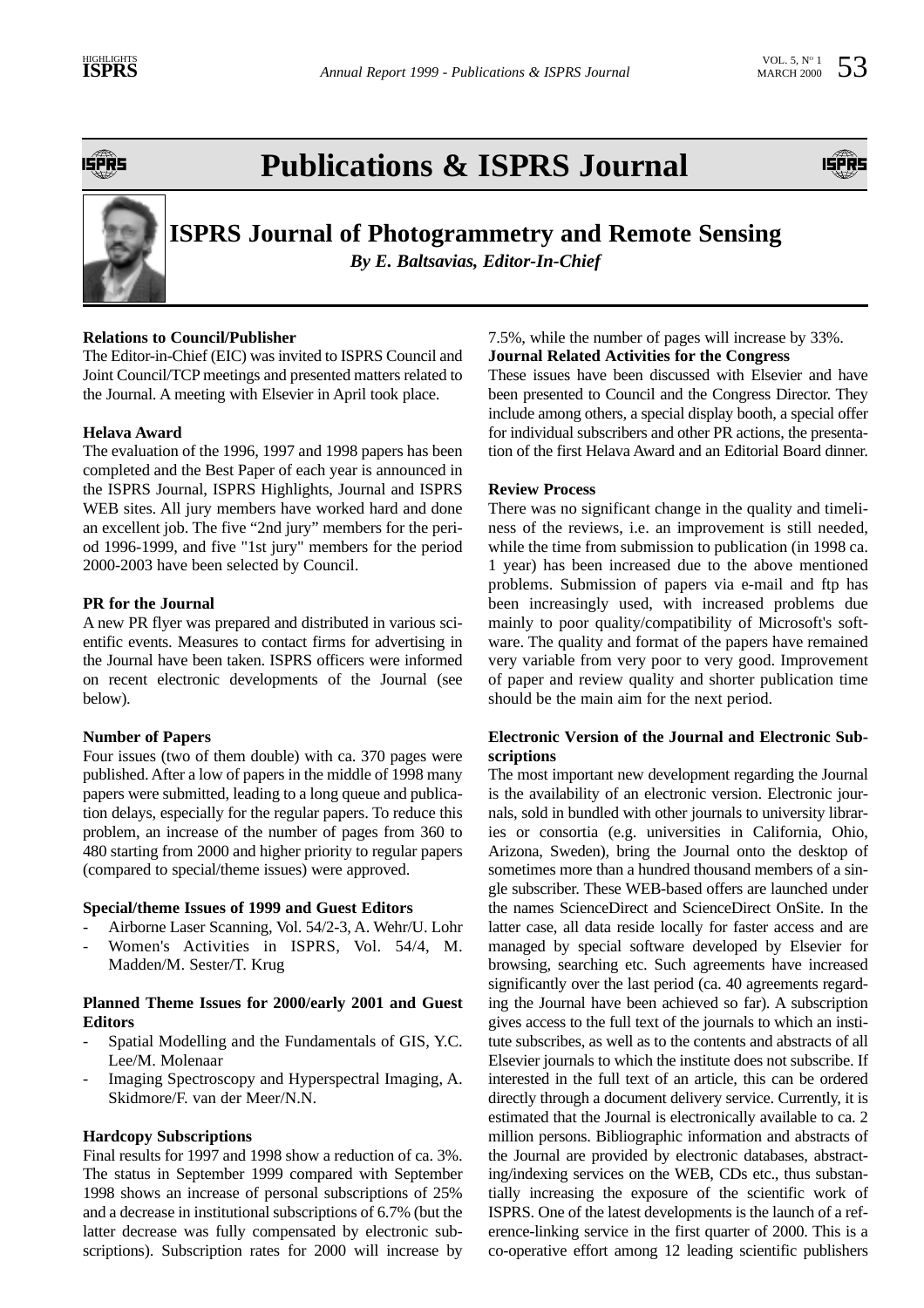IŞPÎRS

# **Publications & ISPRS Journal**





# **ISPRS Journal of Photogrammetry and Remote Sensing**

*By E. Baltsavias, Editor-In-Chief*

# **Relations to Council/Publisher**

The Editor-in-Chief (EIC) was invited to ISPRS Council and Joint Council/TCP meetings and presented matters related to the Journal. A meeting with Elsevier in April took place.

# **Helava Award**

The evaluation of the 1996, 1997 and 1998 papers has been completed and the Best Paper of each year is announced in the ISPRS Journal, ISPRS Highlights, Journal and ISPRS WEB sites. All jury members have worked hard and done an excellent job. The five "2nd jury" members for the period 1996-1999, and five "1st jury" members for the period 2000-2003 have been selected by Council.

### **PR for the Journal**

A new PR flyer was prepared and distributed in various scientific events. Measures to contact firms for advertising in the Journal have been taken. ISPRS officers were informed on recent electronic developments of the Journal (see below).

### **Number of Papers**

Four issues (two of them double) with ca. 370 pages were published. After a low of papers in the middle of 1998 many papers were submitted, leading to a long queue and publication delays, especially for the regular papers. To reduce this problem, an increase of the number of pages from 360 to 480 starting from 2000 and higher priority to regular papers (compared to special/theme issues) were approved.

### **Special/theme Issues of 1999 and Guest Editors**

- Airborne Laser Scanning, Vol. 54/2-3, A. Wehr/U. Lohr
- Women's Activities in ISPRS, Vol. 54/4, M. Madden/M. Sester/T. Krug

### **Planned Theme Issues for 2000/early 2001 and Guest Editors**

- Spatial Modelling and the Fundamentals of GIS, Y.C. Lee/M. Molenaar
- Imaging Spectroscopy and Hyperspectral Imaging, A. Skidmore/F. van der Meer/N.N.

### **Hardcopy Subscriptions**

Final results for 1997 and 1998 show a reduction of ca. 3%. The status in September 1999 compared with September 1998 shows an increase of personal subscriptions of 25% and a decrease in institutional subscriptions of 6.7% (but the latter decrease was fully compensated by electronic subscriptions). Subscription rates for 2000 will increase by

7.5%, while the number of pages will increase by 33%. **Journal Related Activities for the Congress**

These issues have been discussed with Elsevier and have been presented to Council and the Congress Director. They include among others, a special display booth, a special offer for individual subscribers and other PR actions, the presentation of the first Helava Award and an Editorial Board dinner.

#### **Review Process**

There was no significant change in the quality and timeliness of the reviews, i.e. an improvement is still needed, while the time from submission to publication (in 1998 ca. 1 year) has been increased due to the above mentioned problems. Submission of papers via e-mail and ftp has been increasingly used, with increased problems due mainly to poor quality/compatibility of Microsoft's software. The quality and format of the papers have remained very variable from very poor to very good. Improvement of paper and review quality and shorter publication time should be the main aim for the next period.

### **Electronic Version of the Journal and Electronic Subscriptions**

The most important new development regarding the Journal is the availability of an electronic version. Electronic journals, sold in bundled with other journals to university libraries or consortia (e.g. universities in California, Ohio, Arizona, Sweden), bring the Journal onto the desktop of sometimes more than a hundred thousand members of a single subscriber. These WEB-based offers are launched under the names ScienceDirect and ScienceDirect OnSite. In the latter case, all data reside locally for faster access and are managed by special software developed by Elsevier for browsing, searching etc. Such agreements have increased significantly over the last period (ca. 40 agreements regarding the Journal have been achieved so far). A subscription gives access to the full text of the journals to which an institute subscribes, as well as to the contents and abstracts of all Elsevier journals to which the institute does not subscribe. If interested in the full text of an article, this can be ordered directly through a document delivery service. Currently, it is estimated that the Journal is electronically available to ca. 2 million persons. Bibliographic information and abstracts of the Journal are provided by electronic databases, abstracting/indexing services on the WEB, CDs etc., thus substantially increasing the exposure of the scientific work of ISPRS. One of the latest developments is the launch of a reference-linking service in the first quarter of 2000. This is a co-operative effort among 12 leading scientific publishers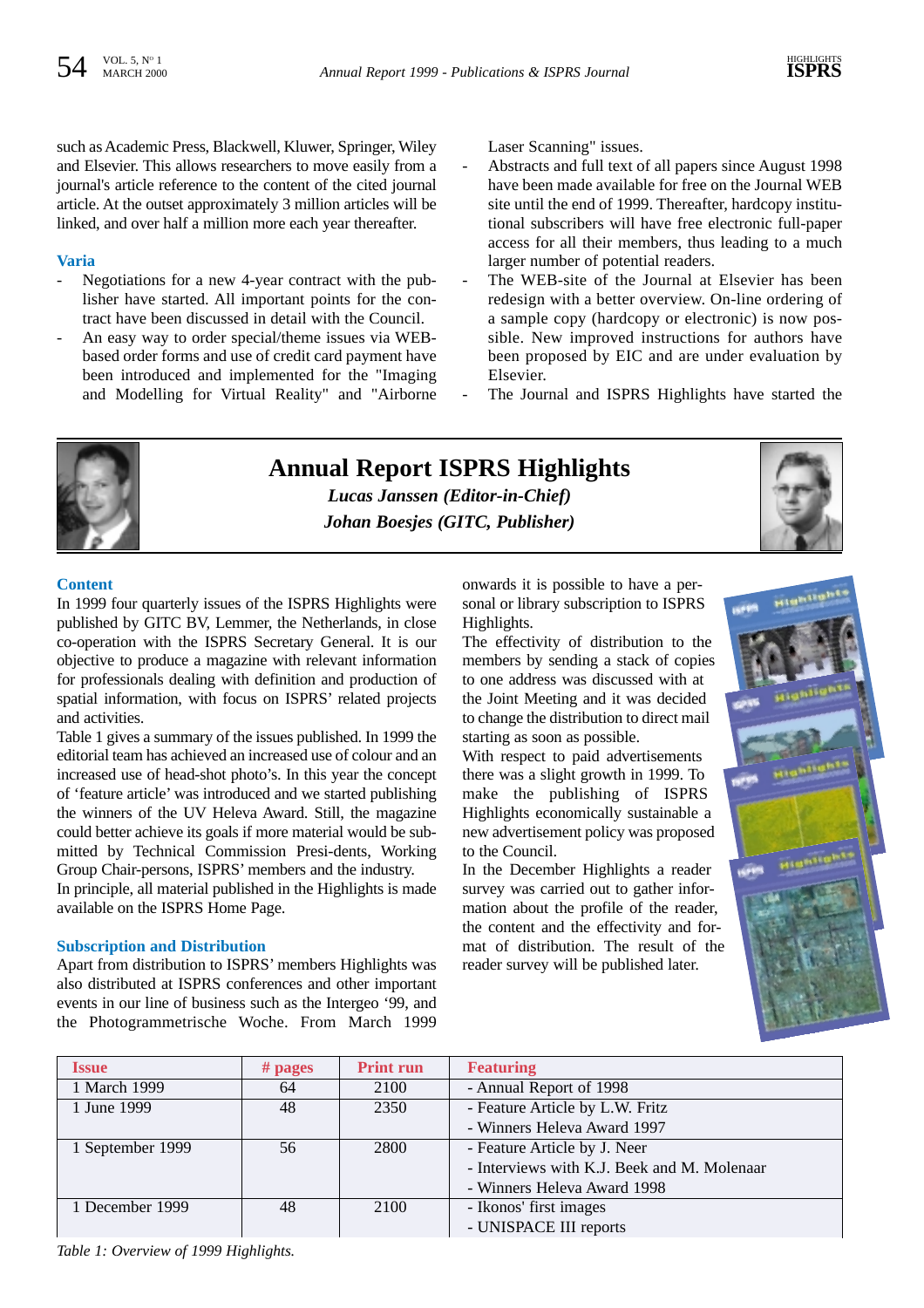such as Academic Press, Blackwell, Kluwer, Springer, Wiley and Elsevier. This allows researchers to move easily from a journal's article reference to the content of the cited journal article. At the outset approximately 3 million articles will be linked, and over half a million more each year thereafter.

# **Varia**

- Negotiations for a new 4-year contract with the publisher have started. All important points for the contract have been discussed in detail with the Council.
- An easy way to order special/theme issues via WEBbased order forms and use of credit card payment have been introduced and implemented for the "Imaging and Modelling for Virtual Reality" and "Airborne

Laser Scanning" issues.

- Abstracts and full text of all papers since August 1998 have been made available for free on the Journal WEB site until the end of 1999. Thereafter, hardcopy institutional subscribers will have free electronic full-paper access for all their members, thus leading to a much larger number of potential readers.
- The WEB-site of the Journal at Elsevier has been redesign with a better overview. On-line ordering of a sample copy (hardcopy or electronic) is now possible. New improved instructions for authors have been proposed by EIC and are under evaluation by Elsevier.
- The Journal and ISPRS Highlights have started the





*Lucas Janssen (Editor-in-Chief) Johan Boesjes (GITC, Publisher)*

#### **Content**

In 1999 four quarterly issues of the ISPRS Highlights were published by GITC BV, Lemmer, the Netherlands, in close co-operation with the ISPRS Secretary General. It is our objective to produce a magazine with relevant information for professionals dealing with definition and production of spatial information, with focus on ISPRS' related projects and activities.

Table 1 gives a summary of the issues published. In 1999 the editorial team has achieved an increased use of colour and an increased use of head-shot photo's. In this year the concept of 'feature article' was introduced and we started publishing the winners of the UV Heleva Award. Still, the magazine could better achieve its goals if more material would be submitted by Technical Commission Presi-dents, Working Group Chair-persons, ISPRS' members and the industry.

In principle, all material published in the Highlights is made available on the ISPRS Home Page.

#### **Subscription and Distribution**

Apart from distribution to ISPRS' members Highlights was also distributed at ISPRS conferences and other important events in our line of business such as the Intergeo '99, and the Photogrammetrische Woche. From March 1999

onwards it is possible to have a personal or library subscription to ISPRS Highlights.

The effectivity of distribution to the members by sending a stack of copies to one address was discussed with at the Joint Meeting and it was decided to change the distribution to direct mail starting as soon as possible.

With respect to paid advertisements there was a slight growth in 1999. To make the publishing of ISPRS Highlights economically sustainable a new advertisement policy was proposed to the Council.

In the December Highlights a reader survey was carried out to gather information about the profile of the reader, the content and the effectivity and format of distribution. The result of the reader survey will be published later.



| <b>Issue</b>     | $#$ pages | <b>Print run</b> | <b>Featuring</b>                            |
|------------------|-----------|------------------|---------------------------------------------|
| 1 March 1999     | 64        | 2100             | - Annual Report of 1998                     |
| 1 June 1999      | 48        | 2350             | - Feature Article by L.W. Fritz             |
|                  |           |                  | - Winners Heleva Award 1997                 |
| 1 September 1999 | 56        | 2800             | - Feature Article by J. Neer                |
|                  |           |                  | - Interviews with K.J. Beek and M. Molenaar |
|                  |           |                  | - Winners Heleva Award 1998                 |
| 1 December 1999  | 48        | 2100             | - Ikonos' first images                      |
|                  |           |                  | - UNISPACE III reports                      |

*Table 1: Overview of 1999 Highlights.*